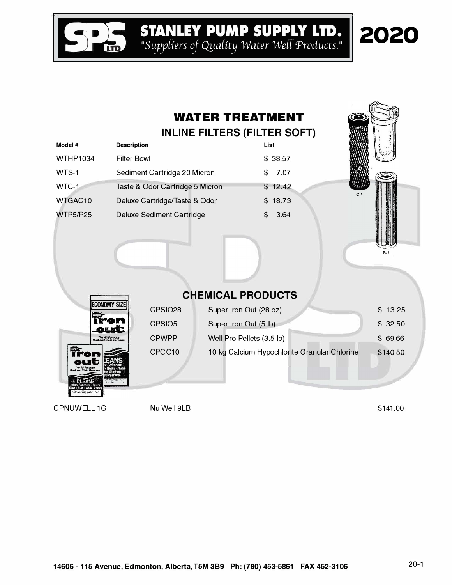**STANLEY PUMP SUPPLY LTD.**<br>"Suppliers of Quality Water Well Products."

## **WATER TREATMENT**

**INLINE FILTERS (FILTER SOFT)** 

| Model #         | <b>Description</b>              | List       |
|-----------------|---------------------------------|------------|
| <b>WTHP1034</b> | <b>Filter Bowl</b>              | \$38.57    |
| WTS-1           | Sediment Cartridge 20 Micron    | 7.07<br>£. |
| WTC-1           | Taste & Odor Cartridge 5 Micron | \$12.42    |
| WTGAC10         | Deluxe Cartridge/Taste & Odor   | \$18.73    |
| <b>WTP5/P25</b> | Deluxe Sediment Cartridge       | 3.64       |

**LTD** 



2020

|                                                  |                     | <b>CHEMICAL PRODUCTS</b>                     |          |
|--------------------------------------------------|---------------------|----------------------------------------------|----------|
| ECONOMY SIZE                                     | CPSIO <sub>28</sub> | Super Iron Out (28 oz)                       | \$13.25  |
| fron<br><b>OLIE</b>                              | CPSIO <sub>5</sub>  | Super Iron Out (5 lb)                        | \$32.50  |
| The All Purpose<br>Rust and Stain Remover        | <b>CPWPP</b>        | Well Pro Pellets (3.5 lb)                    | \$69.66  |
| ror<br>The All Purpose<br>Rust and Stain Remover | CPCC10              | 10 kg Calcium Hypochlorite Granular Chlorine | \$140.50 |

**CPNUWELL 1G** 

Nu Well 9LB

\$141.00